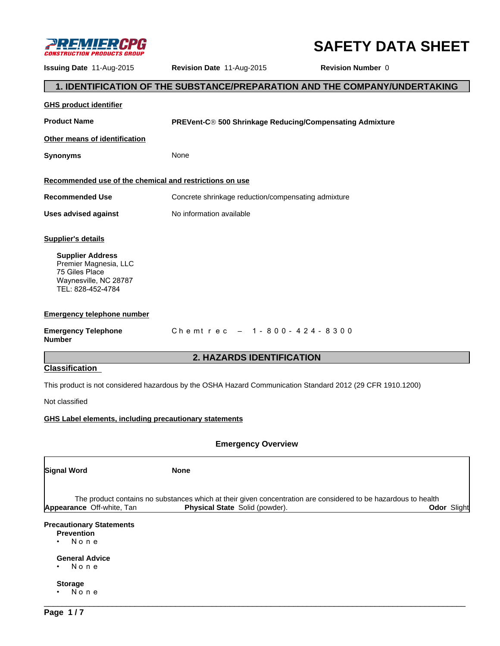

# **SAFETY DATA SHEET**

**Issuing Date** 11-Aug-2015 **Revision Date** 11-Aug-2015 **Revision Number** 0

# **1. IDENTIFICATION OF THE SUBSTANCE/PREPARATION AND THE COMPANY/UNDERTAKING**

| <b>GHS product identifier</b>                                                                                    |                                                                                                                                                                        |  |  |  |  |
|------------------------------------------------------------------------------------------------------------------|------------------------------------------------------------------------------------------------------------------------------------------------------------------------|--|--|--|--|
| <b>Product Name</b>                                                                                              | PREVent-C® 500 Shrinkage Reducing/Compensating Admixture                                                                                                               |  |  |  |  |
| Other means of identification                                                                                    |                                                                                                                                                                        |  |  |  |  |
| <b>Synonyms</b>                                                                                                  | None                                                                                                                                                                   |  |  |  |  |
| Recommended use of the chemical and restrictions on use                                                          |                                                                                                                                                                        |  |  |  |  |
| <b>Recommended Use</b>                                                                                           | Concrete shrinkage reduction/compensating admixture                                                                                                                    |  |  |  |  |
| <b>Uses advised against</b>                                                                                      | No information available                                                                                                                                               |  |  |  |  |
| <b>Supplier's details</b>                                                                                        |                                                                                                                                                                        |  |  |  |  |
| <b>Supplier Address</b><br>Premier Magnesia, LLC<br>75 Giles Place<br>Waynesville, NC 28787<br>TEL: 828-452-4784 |                                                                                                                                                                        |  |  |  |  |
| <b>Emergency telephone number</b>                                                                                |                                                                                                                                                                        |  |  |  |  |
| <b>Emergency Telephone</b><br><b>Number</b>                                                                      | Chemtrec - 1-800-424-8300                                                                                                                                              |  |  |  |  |
|                                                                                                                  | <b>2. HAZARDS IDENTIFICATION</b>                                                                                                                                       |  |  |  |  |
| <b>Classification</b>                                                                                            |                                                                                                                                                                        |  |  |  |  |
|                                                                                                                  | This product is not considered hazardous by the OSHA Hazard Communication Standard 2012 (29 CFR 1910.1200)                                                             |  |  |  |  |
| Not classified                                                                                                   |                                                                                                                                                                        |  |  |  |  |
| GHS Label elements, including precautionary statements                                                           |                                                                                                                                                                        |  |  |  |  |
|                                                                                                                  | <b>Emergency Overview</b>                                                                                                                                              |  |  |  |  |
| Signal Word                                                                                                      | <b>None</b>                                                                                                                                                            |  |  |  |  |
| Appearance Off-white, Tan                                                                                        | The product contains no substances which at their given concentration are considered to be hazardous to health<br>Physical State Solid (powder).<br><b>Odor Slight</b> |  |  |  |  |
| <b>Precautionary Statements</b><br><b>Prevention</b><br>None                                                     |                                                                                                                                                                        |  |  |  |  |
| <b>General Advice</b><br>None                                                                                    |                                                                                                                                                                        |  |  |  |  |
| <b>Storage</b><br>None                                                                                           |                                                                                                                                                                        |  |  |  |  |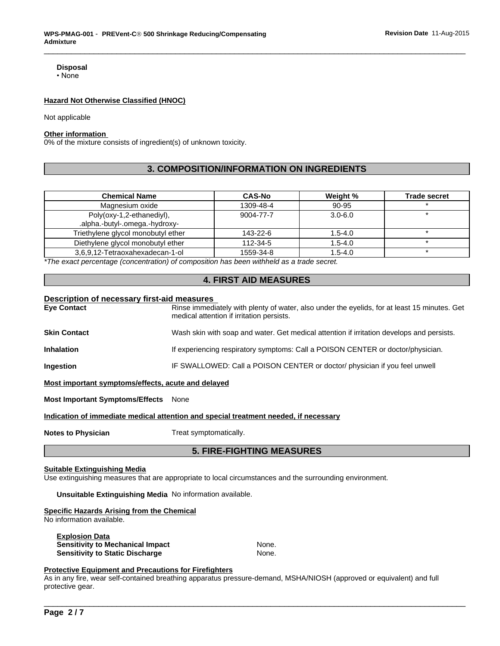# **Disposal**

•None

#### **Hazard Not Otherwise Classified (HNOC)**

Not applicable

## **Other information**

0% of the mixture consists of ingredient(s) of unknown toxicity.

# **3. COMPOSITION/INFORMATION ON INGREDIENTS**

| <b>Chemical Name</b>                                        | <b>CAS-No</b> | Weight %    | <b>Trade secret</b> |
|-------------------------------------------------------------|---------------|-------------|---------------------|
| Magnesium oxide                                             | 1309-48-4     | 90-95       |                     |
| Poly(oxy-1,2-ethanediyl),<br>.alpha.-butyl-.omega.-hydroxy- | 9004-77-7     | $3.0 - 6.0$ |                     |
| Triethylene glycol monobutyl ether                          | 143-22-6      | $1.5 - 4.0$ |                     |
| Diethylene glycol monobutyl ether                           | 112-34-5      | $1.5 - 4.0$ |                     |
| 3.6.9.12-Tetraoxahexadecan-1-ol                             | 1559-34-8     | $1.5 - 4.0$ |                     |

*\*The exact percentage (concentration) of composition has been withheld as a trade secret.*

# **4. FIRST AID MEASURES**

#### **Description of necessary first-aid measures**

| <b>Eye Contact</b>                                 | Rinse immediately with plenty of water, also under the eyelids, for at least 15 minutes. Get<br>medical attention if irritation persists. |
|----------------------------------------------------|-------------------------------------------------------------------------------------------------------------------------------------------|
| <b>Skin Contact</b>                                | Wash skin with soap and water. Get medical attention if irritation develops and persists.                                                 |
| <b>Inhalation</b>                                  | If experiencing respiratory symptoms: Call a POISON CENTER or doctor/physician.                                                           |
| Ingestion                                          | IF SWALLOWED: Call a POISON CENTER or doctor/ physician if you feel unwell                                                                |
| Most important symptoms/effects, acute and delayed |                                                                                                                                           |

**Most Important Symptoms/Effects** None

**Indication of immediate medical attention and special treatment needed, if necessary**

**Notes to Physician** Treat symptomatically.

### **5. FIRE-FIGHTING MEASURES**

# **Suitable Extinguishing Media**

Use extinguishing measures that are appropriate to local circumstances and the surrounding environment.

**Unsuitable Extinguishing Media** No information available.

#### **Specific Hazards Arising from the Chemical**

No information available.

| <b>Explosion Data</b>                   |       |
|-----------------------------------------|-------|
| <b>Sensitivity to Mechanical Impact</b> | None. |
| Sensitivity to Static Discharge         | None. |

# **Protective Equipment and Precautions for Firefighters**

As in any fire, wear self-contained breathing apparatus pressure-demand, MSHA/NIOSH (approved or equivalent) and full protective gear.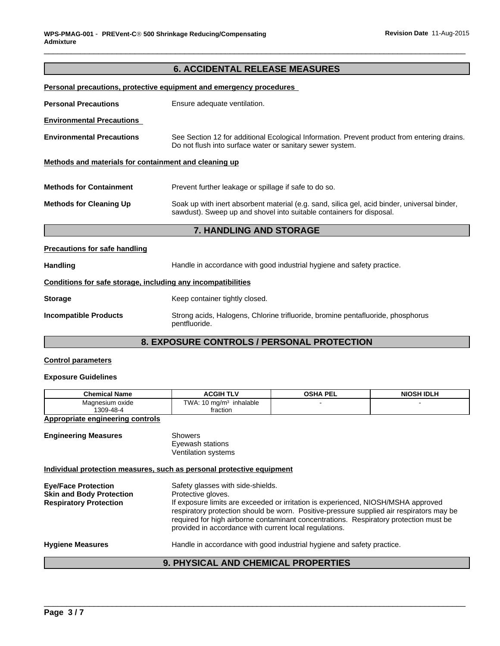# **6. ACCIDENTAL RELEASE MEASURES**

| Personal precautions, protective equipment and emergency procedures |                                                                                                                                                                      |  |
|---------------------------------------------------------------------|----------------------------------------------------------------------------------------------------------------------------------------------------------------------|--|
| <b>Personal Precautions</b>                                         | Ensure adequate ventilation.                                                                                                                                         |  |
| <b>Environmental Precautions</b>                                    |                                                                                                                                                                      |  |
| <b>Environmental Precautions</b>                                    | See Section 12 for additional Ecological Information. Prevent product from entering drains.<br>Do not flush into surface water or sanitary sewer system.             |  |
| Methods and materials for containment and cleaning up               |                                                                                                                                                                      |  |
| <b>Methods for Containment</b>                                      | Prevent further leakage or spillage if safe to do so.                                                                                                                |  |
| <b>Methods for Cleaning Up</b>                                      | Soak up with inert absorbent material (e.g. sand, silica gel, acid binder, universal binder,<br>sawdust). Sweep up and shovel into suitable containers for disposal. |  |
|                                                                     | <b>7. HANDLING AND STORAGE</b>                                                                                                                                       |  |
|                                                                     |                                                                                                                                                                      |  |

# Handling **Handle in accordance with good industrial hygiene and safety practice.**

# **Conditions for safe storage, including any incompatibilities**

| <b>Storage</b> | Keep container tightly closed. |
|----------------|--------------------------------|
|                |                                |

# **Incompatible Products** Strong acids, Halogens, Chlorine trifluoride, bromine pentafluoride, phosphorus pentfluoride.

# **8. EXPOSURE CONTROLS / PERSONAL PROTECTION**

# **Control parameters**

**Precautions for safe handling**

# **Exposure Guidelines**

| <b>Chemical Name</b>           | <b>ACGIH</b><br>т.<br>--    | OSHA PEI | NIOSH IDLH |
|--------------------------------|-----------------------------|----------|------------|
| Magnesium oxide                | TWA.<br>inhalable<br>⊦ma/m∙ |          |            |
| 1300.<br>70-48-4<br>טט ו<br>᠇୰ | fraction                    |          |            |

# **Appropriate engineering controls**

**Engineering Measures** Showers

Eyewash stations Ventilation systems

### **Individual protection measures, such as personal protective equipment**

| <b>Eye/Face Protection</b><br><b>Skin and Body Protection</b><br><b>Respiratory Protection</b> | Safety glasses with side-shields.<br>Protective gloves.<br>If exposure limits are exceeded or irritation is experienced, NIOSH/MSHA approved<br>respiratory protection should be worn. Positive-pressure supplied air respirators may be<br>required for high airborne contaminant concentrations. Respiratory protection must be<br>provided in accordance with current local regulations. |
|------------------------------------------------------------------------------------------------|---------------------------------------------------------------------------------------------------------------------------------------------------------------------------------------------------------------------------------------------------------------------------------------------------------------------------------------------------------------------------------------------|
| <b>Hygiene Measures</b>                                                                        | Handle in accordance with good industrial hygiene and safety practice.                                                                                                                                                                                                                                                                                                                      |

# \_\_\_\_\_\_\_\_\_\_\_\_\_\_\_\_\_\_\_\_\_\_\_\_\_\_\_\_\_\_\_\_\_\_\_\_\_\_\_\_\_\_\_\_\_\_\_\_\_\_\_\_\_\_\_\_\_\_\_\_\_\_\_\_\_\_\_\_\_\_\_\_\_\_\_\_\_\_\_\_\_\_\_\_\_\_\_\_\_\_\_\_\_ **9. PHYSICAL AND CHEMICAL PROPERTIES**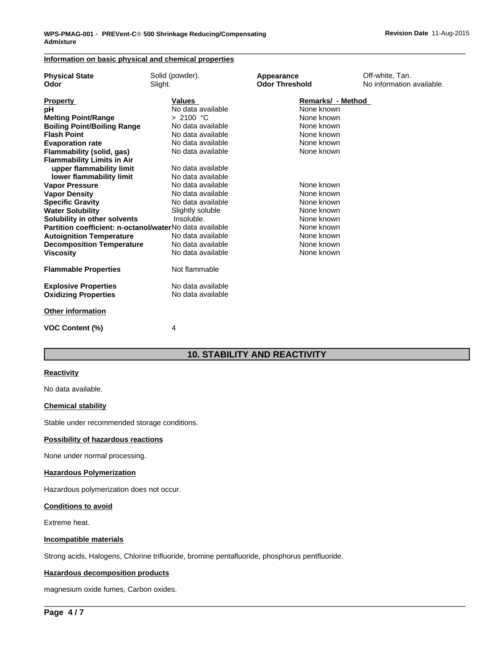# **Information on basic physical and chemical properties**

| <b>Physical State</b>                                   | Solid (powder).   | Appearance            | Off-white, Tan.           |
|---------------------------------------------------------|-------------------|-----------------------|---------------------------|
| Odor                                                    | Slight.           | <b>Odor Threshold</b> | No information available. |
| <b>Property</b>                                         | Values            | Remarks/ - Method     |                           |
| рH                                                      | No data available | None known            |                           |
| <b>Melting Point/Range</b>                              | > 2100 °C         | None known            |                           |
| <b>Boiling Point/Boiling Range</b>                      | No data available | None known            |                           |
| <b>Flash Point</b>                                      | No data available | None known            |                           |
| <b>Evaporation rate</b>                                 | No data available | None known            |                           |
| Flammability (solid, gas)                               | No data available | None known            |                           |
| <b>Flammability Limits in Air</b>                       |                   |                       |                           |
| upper flammability limit                                | No data available |                       |                           |
| lower flammability limit                                | No data available |                       |                           |
| <b>Vapor Pressure</b>                                   | No data available | None known            |                           |
| <b>Vapor Density</b>                                    | No data available | None known            |                           |
| <b>Specific Gravity</b>                                 | No data available | None known            |                           |
| <b>Water Solubility</b>                                 | Slightly soluble  | None known            |                           |
| Solubility in other solvents                            | Insoluble.        | None known            |                           |
| Partition coefficient: n-octanol/waterNo data available |                   | None known            |                           |
| <b>Autoignition Temperature</b>                         | No data available | None known            |                           |
| <b>Decomposition Temperature</b>                        | No data available | None known            |                           |
| <b>Viscosity</b>                                        | No data available | None known            |                           |
| <b>Flammable Properties</b>                             | Not flammable     |                       |                           |
| <b>Explosive Properties</b>                             | No data available |                       |                           |
| <b>Oxidizing Properties</b>                             | No data available |                       |                           |
| <b>Other information</b>                                |                   |                       |                           |
| <b>VOC Content (%)</b>                                  | 4                 |                       |                           |
|                                                         |                   |                       |                           |

# **10. STABILITY AND REACTIVITY**

 $\overline{\phantom{a}}$  ,  $\overline{\phantom{a}}$  ,  $\overline{\phantom{a}}$  ,  $\overline{\phantom{a}}$  ,  $\overline{\phantom{a}}$  ,  $\overline{\phantom{a}}$  ,  $\overline{\phantom{a}}$  ,  $\overline{\phantom{a}}$  ,  $\overline{\phantom{a}}$  ,  $\overline{\phantom{a}}$  ,  $\overline{\phantom{a}}$  ,  $\overline{\phantom{a}}$  ,  $\overline{\phantom{a}}$  ,  $\overline{\phantom{a}}$  ,  $\overline{\phantom{a}}$  ,  $\overline{\phantom{a}}$ 

# **Reactivity**

No data available.

#### **Chemical stability**

Stable under recommended storage conditions.

# **Possibility of hazardous reactions**

None under normal processing.

#### **Hazardous Polymerization**

Hazardous polymerization does not occur.

# **Conditions to avoid**

Extreme heat.

# **Incompatible materials**

Strong acids, Halogens, Chlorine trifluoride, bromine pentafluoride, phosphorus pentfluoride.

#### **Hazardous decomposition products**

magnesium oxide fumes, Carbon oxides.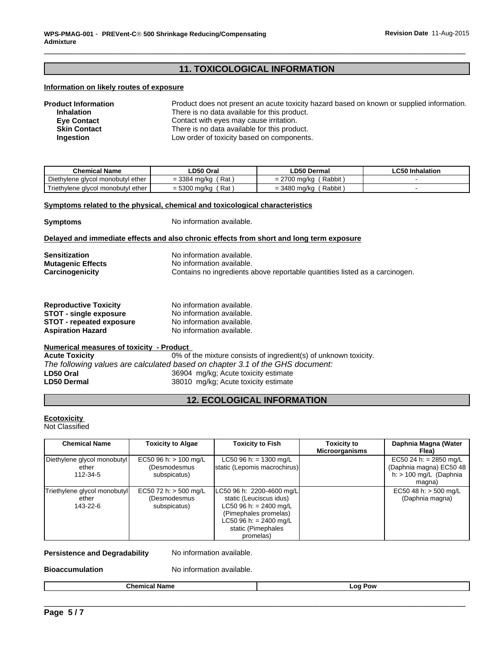# **11. TOXICOLOGICAL INFORMATION**

#### **Information on likely routes of exposure**

| <b>Product Information</b> | Product does not present an acute toxicity hazard based on known or supplied information. |
|----------------------------|-------------------------------------------------------------------------------------------|
| <b>Inhalation</b>          | There is no data available for this product.                                              |
| <b>Eve Contact</b>         | Contact with eyes may cause irritation.                                                   |
| <b>Skin Contact</b>        | There is no data available for this product.                                              |
| Ingestion                  | Low order of toxicity based on components.                                                |

| <b>Chemical Name</b>                           | LD50 Oral                                  | <b>LD50 Dermal</b>                         | <b>LC50 Inhalation</b> |
|------------------------------------------------|--------------------------------------------|--------------------------------------------|------------------------|
| Diethylene glycol monobutyl ether              | Rat<br>$= 3384$<br>∙ma/ka                  | Rabbit<br>∩¬^<br>700 ma/ka<br>$=$ $\prime$ |                        |
| Triethvlene J<br>∧ ether<br>a alvcol monobutvl | Rat<br>conn<br>300 ma/ka<br>— n<br>= ರಿಲ್ಲ | Rabbit<br>3480 ma/ka<br>- ت                |                        |

#### **Symptoms related to the physical, chemical and toxicological characteristics**

**Symptoms** No information available.

#### **Delayed and immediate effects and also chronic effects from short and long term exposure**

| <b>Sensitization</b>     | No information available.                                                   |
|--------------------------|-----------------------------------------------------------------------------|
| <b>Mutagenic Effects</b> | No information available.                                                   |
| Carcinogenicity          | Contains no ingredients above reportable quantities listed as a carcinogen. |

| <b>Reproductive Toxicity</b>    | No information available. |
|---------------------------------|---------------------------|
| STOT - single exposure          | No information available. |
| <b>STOT - repeated exposure</b> | No information available. |
| <b>Aspiration Hazard</b>        | No information available. |

# **Numerical measures of toxicity - Product**

0% of the mixture consists of ingredient(s) of unknown toxicity. *The following values are calculated based on chapter 3.1 of the GHS document:* **LD50 Oral** 36904 mg/kg; Acute toxicity estimate<br> **LD50 Dermal** 38010 mg/kg; Acute toxicity estimate 38010 mg/kg; Acute toxicity estimate

# **12. ECOLOGICAL INFORMATION**

# **Ecotoxicity**

Not Classified

| <b>Chemical Name</b>                              | <b>Toxicity to Algae</b>                                | <b>Toxicity to Fish</b>                                                                                                                                              | <b>Toxicity to</b><br><b>Microorganisms</b> | Daphnia Magna (Water<br>Flea)                                                           |
|---------------------------------------------------|---------------------------------------------------------|----------------------------------------------------------------------------------------------------------------------------------------------------------------------|---------------------------------------------|-----------------------------------------------------------------------------------------|
| Diethylene glycol monobutyl<br>ether<br>112-34-5  | EC50 96 h: $> 100$ mg/L<br>(Desmodesmus<br>subspicatus) | LC50 96 h: = 1300 mg/L<br>static (Lepomis macrochirus)                                                                                                               |                                             | EC50 24 h: = 2850 mg/L<br>(Daphnia magna) EC50 48<br>h: $> 100$ mg/L (Daphnia<br>magna) |
| Triethylene glycol monobutyl<br>ether<br>143-22-6 | EC50 72 h: $>$ 500 mg/L<br>(Desmodesmus<br>subspicatus) | LC50 96 h: 2200-4600 mg/L<br>static (Leuciscus idus)<br>LC50 96 h: = 2400 mg/L<br>(Pimephales promelas)<br>LC50 96 h: = 2400 mg/L<br>static (Pimephales<br>promelas) |                                             | EC50 48 h: $>$ 500 mg/L<br>(Daphnia magna)                                              |

#### **Persistence and Degradability** No information available.

**Bioaccumulation** No information available.

\_\_\_\_\_\_\_\_\_\_\_\_\_\_\_\_\_\_\_\_\_\_\_\_\_\_\_\_\_\_\_\_\_\_\_\_\_\_\_\_\_\_\_\_\_\_\_\_\_\_\_\_\_\_\_\_\_\_\_\_\_\_\_\_\_\_\_\_\_\_\_\_\_\_\_\_\_\_\_\_\_\_\_\_\_\_\_\_\_\_\_\_\_ **Chemical Name Log Pow**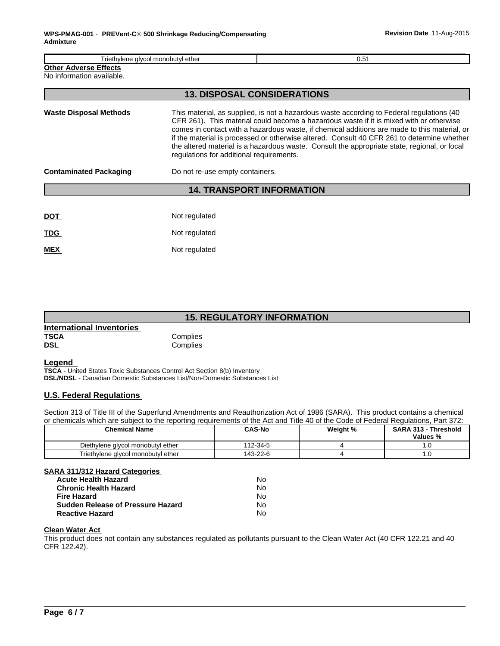| Triethylene glycol monobutyl ether<br>0.51                |                                          |                                                                                                                                                                                                                                                                                                                                                                                                                                                                                     |
|-----------------------------------------------------------|------------------------------------------|-------------------------------------------------------------------------------------------------------------------------------------------------------------------------------------------------------------------------------------------------------------------------------------------------------------------------------------------------------------------------------------------------------------------------------------------------------------------------------------|
| <b>Other Adverse Effects</b><br>No information available. |                                          |                                                                                                                                                                                                                                                                                                                                                                                                                                                                                     |
|                                                           |                                          | <b>13. DISPOSAL CONSIDERATIONS</b>                                                                                                                                                                                                                                                                                                                                                                                                                                                  |
| <b>Waste Disposal Methods</b>                             | regulations for additional requirements. | This material, as supplied, is not a hazardous waste according to Federal regulations (40)<br>CFR 261). This material could become a hazardous waste if it is mixed with or otherwise<br>comes in contact with a hazardous waste, if chemical additions are made to this material, or<br>if the material is processed or otherwise altered. Consult 40 CFR 261 to determine whether<br>the altered material is a hazardous waste. Consult the appropriate state, regional, or local |
| <b>Contaminated Packaging</b>                             | Do not re-use empty containers.          |                                                                                                                                                                                                                                                                                                                                                                                                                                                                                     |
|                                                           |                                          | <b>14. TRANSPORT INFORMATION</b>                                                                                                                                                                                                                                                                                                                                                                                                                                                    |
| <b>DOT</b>                                                | Not regulated                            |                                                                                                                                                                                                                                                                                                                                                                                                                                                                                     |
| TDG                                                       | Not regulated                            |                                                                                                                                                                                                                                                                                                                                                                                                                                                                                     |
| <b>MEX</b>                                                | Not regulated                            |                                                                                                                                                                                                                                                                                                                                                                                                                                                                                     |

# **15. REGULATORY INFORMATION**

| International Inventories |          |  |
|---------------------------|----------|--|
| <b>TSCA</b>               | Complies |  |
| <b>DSL</b>                | Complies |  |

# **Legend**

**TSCA** - United States Toxic Substances Control Act Section 8(b) Inventory **DSL/NDSL** - Canadian Domestic Substances List/Non-Domestic Substances List

# **U.S. Federal Regulations**

Section 313 of Title III of the Superfund Amendments and Reauthorization Act of 1986 (SARA). This product contains a chemical or chemicals which are subject to the reporting requirements of the Act and Title 40 of the Code of Federal Regulations, Part 372:

| <b>Chemical Name</b>               | <b>CAS-No</b> | Weight % | <b>SARA 313 -</b><br>Threshold<br>Values % |
|------------------------------------|---------------|----------|--------------------------------------------|
| Diethylene glycol monobutyl ether  | 112-34-5      |          | $\cdot$                                    |
| Triethylene glycol monobutyl ether | 143-22-6      |          | $\cdot\cdot$                               |

#### **SARA 311/312 Hazard Categories**

| <b>Acute Health Hazard</b>               | No |
|------------------------------------------|----|
| <b>Chronic Health Hazard</b>             | N٥ |
| <b>Fire Hazard</b>                       | N٥ |
| <b>Sudden Release of Pressure Hazard</b> | N٥ |
| <b>Reactive Hazard</b>                   | No |

#### **Clean Water Act**

This product does not contain any substances regulated as pollutants pursuant to the Clean Water Act (40 CFR 122.21 and 40 CFR 122.42).